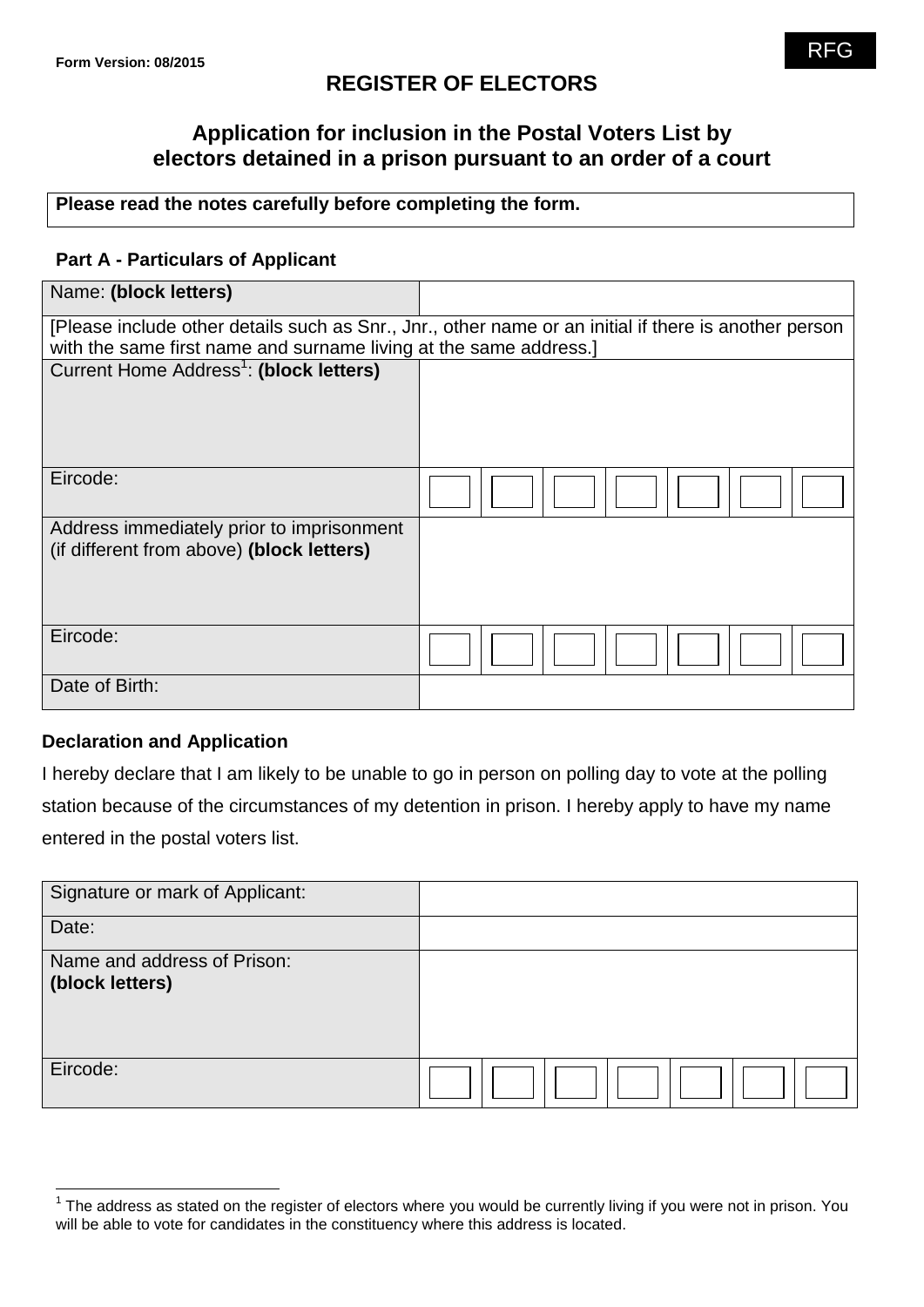# **REGISTER OF ELECTORS**

# **Application for inclusion in the Postal Voters List by electors detained in a prison pursuant to an order of a court**

#### **Please read the notes carefully before completing the form.**

#### **Part A - Particulars of Applicant**

| Name: (block letters)                                                                                                                                                      |  |  |  |
|----------------------------------------------------------------------------------------------------------------------------------------------------------------------------|--|--|--|
| [Please include other details such as Snr., Jnr., other name or an initial if there is another person<br>with the same first name and surname living at the same address.] |  |  |  |
| Current Home Address <sup>1</sup> : (block letters)                                                                                                                        |  |  |  |
| Eircode:                                                                                                                                                                   |  |  |  |
| Address immediately prior to imprisonment<br>(if different from above) (block letters)                                                                                     |  |  |  |
| Eircode:                                                                                                                                                                   |  |  |  |
| Date of Birth:                                                                                                                                                             |  |  |  |

#### **Declaration and Application**

I hereby declare that I am likely to be unable to go in person on polling day to vote at the polling station because of the circumstances of my detention in prison. I hereby apply to have my name entered in the postal voters list.

| Signature or mark of Applicant:                |  |
|------------------------------------------------|--|
| Date:                                          |  |
| Name and address of Prison:<br>(block letters) |  |
| Eircode:                                       |  |

<sup>1</sup>  $1$  The address as stated on the register of electors where you would be currently living if you were not in prison. You will be able to vote for candidates in the constituency where this address is located.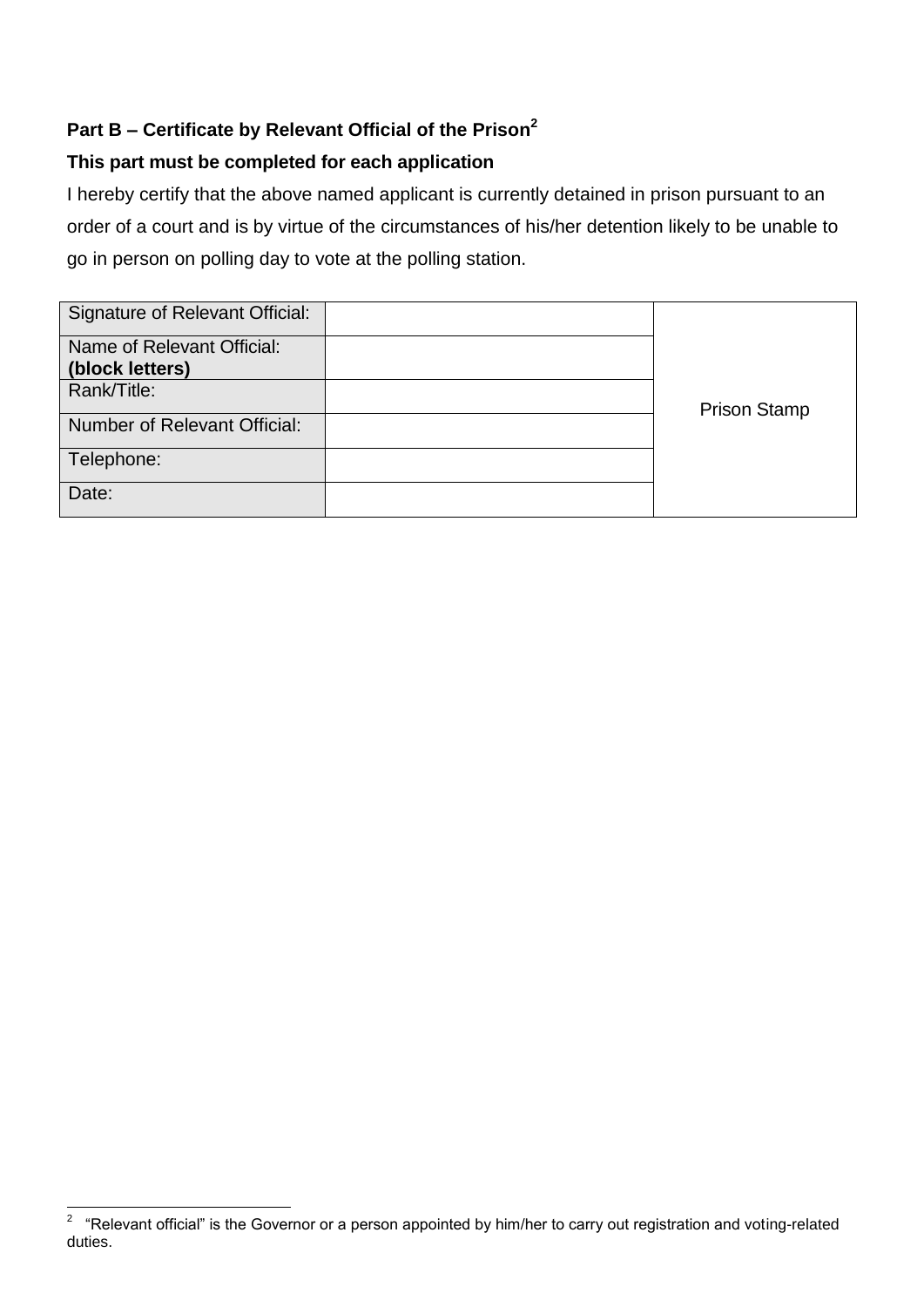## **Part B – Certificate by Relevant Official of the Prison<sup>2</sup>**

## **This part must be completed for each application**

I hereby certify that the above named applicant is currently detained in prison pursuant to an order of a court and is by virtue of the circumstances of his/her detention likely to be unable to go in person on polling day to vote at the polling station.

| Signature of Relevant Official:               |                     |
|-----------------------------------------------|---------------------|
| Name of Relevant Official:<br>(block letters) |                     |
| Rank/Title:                                   | <b>Prison Stamp</b> |
| Number of Relevant Official:                  |                     |
| Telephone:                                    |                     |
| Date:                                         |                     |

<sup>&</sup>lt;u>2</u><br><sup>2</sup> "Relevant official" is the Governor or a person appointed by him/her to carry out registration and voting-related duties.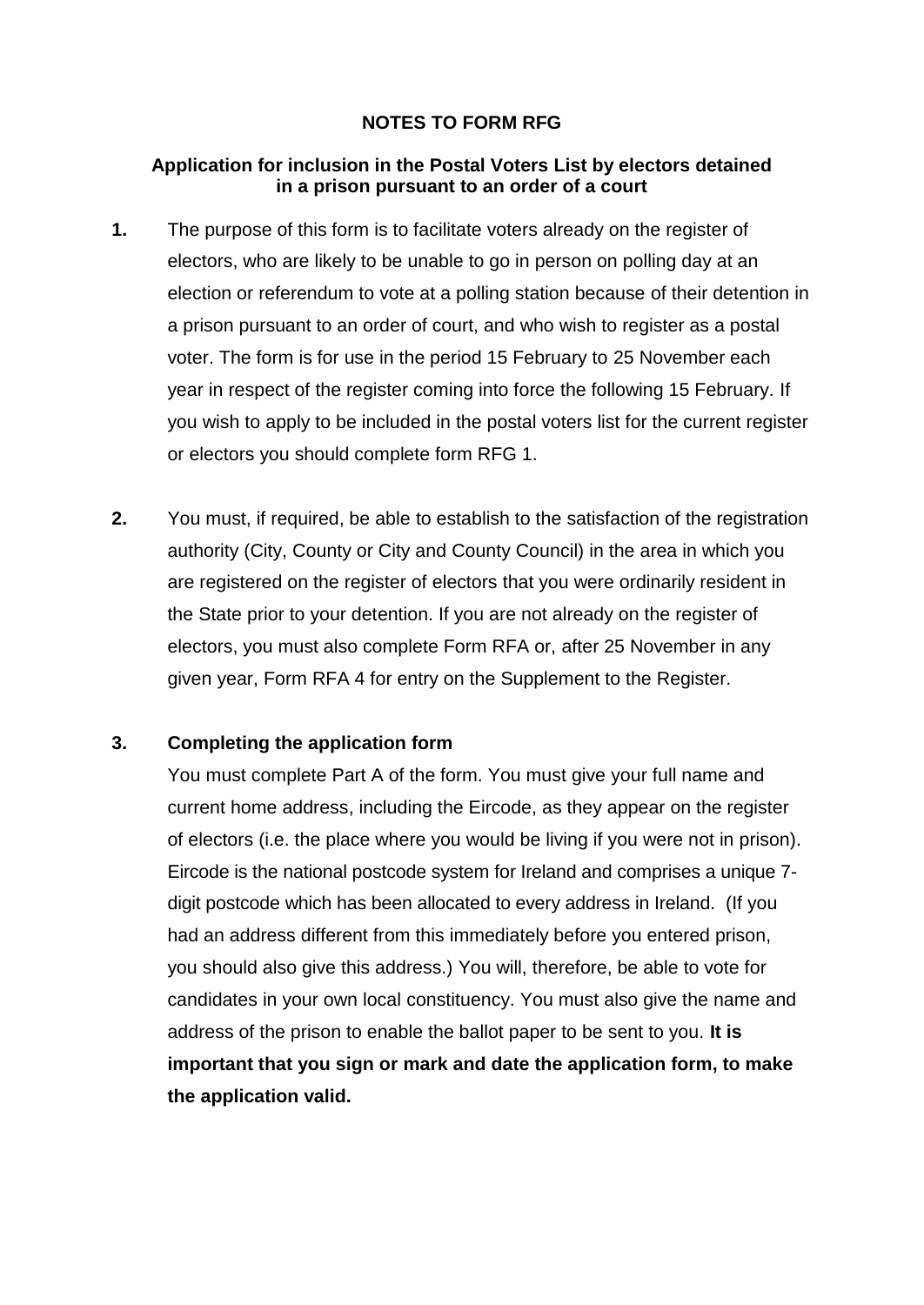### **NOTES TO FORM RFG**

#### **Application for inclusion in the Postal Voters List by electors detained in a prison pursuant to an order of a court**

- **1.** The purpose of this form is to facilitate voters already on the register of electors, who are likely to be unable to go in person on polling day at an election or referendum to vote at a polling station because of their detention in a prison pursuant to an order of court, and who wish to register as a postal voter. The form is for use in the period 15 February to 25 November each year in respect of the register coming into force the following 15 February. If you wish to apply to be included in the postal voters list for the current register or electors you should complete form RFG 1.
- **2.** You must, if required, be able to establish to the satisfaction of the registration authority (City, County or City and County Council) in the area in which you are registered on the register of electors that you were ordinarily resident in the State prior to your detention. If you are not already on the register of electors, you must also complete Form RFA or, after 25 November in any given year, Form RFA 4 for entry on the Supplement to the Register.

#### **3. Completing the application form**

You must complete Part A of the form. You must give your full name and current home address, including the Eircode, as they appear on the register of electors (i.e. the place where you would be living if you were not in prison). Eircode is the national postcode system for Ireland and comprises a unique 7 digit postcode which has been allocated to every address in Ireland. (If you had an address different from this immediately before you entered prison, you should also give this address.) You will, therefore, be able to vote for candidates in your own local constituency. You must also give the name and address of the prison to enable the ballot paper to be sent to you. **It is important that you sign or mark and date the application form, to make the application valid.**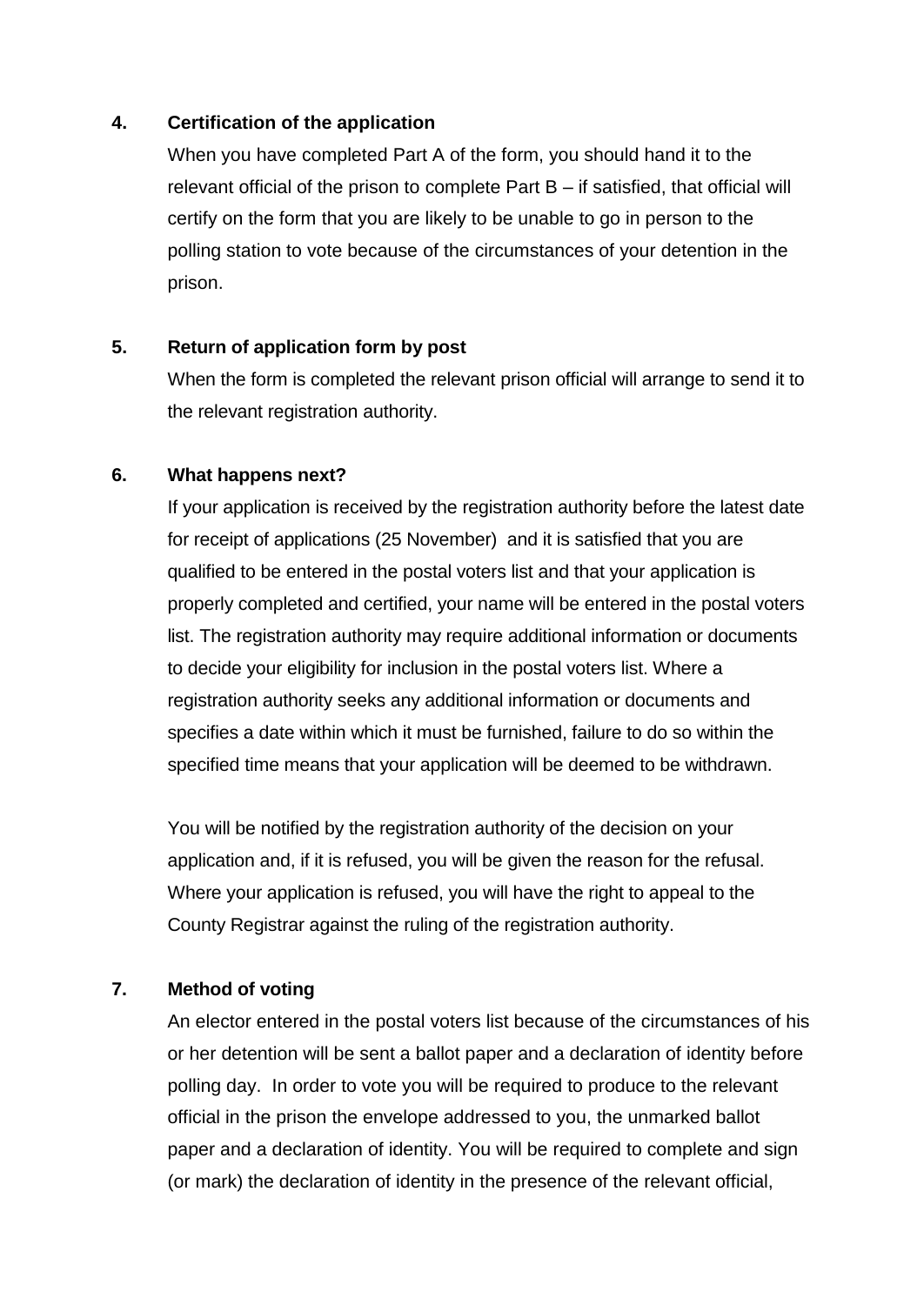### **4. Certification of the application**

When you have completed Part A of the form, you should hand it to the relevant official of the prison to complete Part B – if satisfied, that official will certify on the form that you are likely to be unable to go in person to the polling station to vote because of the circumstances of your detention in the prison.

### **5. Return of application form by post**

When the form is completed the relevant prison official will arrange to send it to the relevant registration authority.

### **6. What happens next?**

If your application is received by the registration authority before the latest date for receipt of applications (25 November) and it is satisfied that you are qualified to be entered in the postal voters list and that your application is properly completed and certified, your name will be entered in the postal voters list. The registration authority may require additional information or documents to decide your eligibility for inclusion in the postal voters list. Where a registration authority seeks any additional information or documents and specifies a date within which it must be furnished, failure to do so within the specified time means that your application will be deemed to be withdrawn.

You will be notified by the registration authority of the decision on your application and, if it is refused, you will be given the reason for the refusal. Where your application is refused, you will have the right to appeal to the County Registrar against the ruling of the registration authority.

## **7. Method of voting**

An elector entered in the postal voters list because of the circumstances of his or her detention will be sent a ballot paper and a declaration of identity before polling day. In order to vote you will be required to produce to the relevant official in the prison the envelope addressed to you, the unmarked ballot paper and a declaration of identity. You will be required to complete and sign (or mark) the declaration of identity in the presence of the relevant official,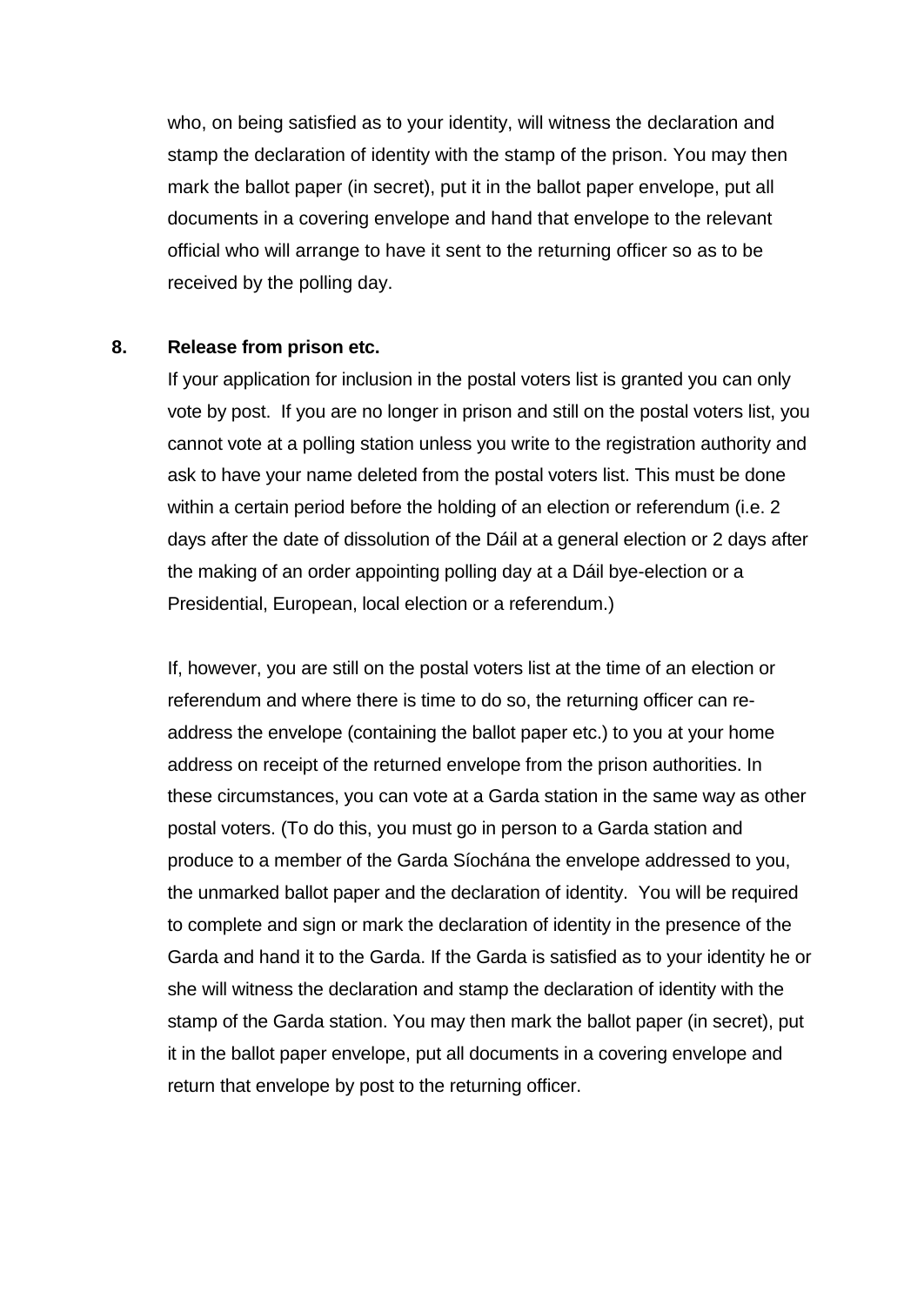who, on being satisfied as to your identity, will witness the declaration and stamp the declaration of identity with the stamp of the prison. You may then mark the ballot paper (in secret), put it in the ballot paper envelope, put all documents in a covering envelope and hand that envelope to the relevant official who will arrange to have it sent to the returning officer so as to be received by the polling day.

#### **8. Release from prison etc.**

If your application for inclusion in the postal voters list is granted you can only vote by post. If you are no longer in prison and still on the postal voters list, you cannot vote at a polling station unless you write to the registration authority and ask to have your name deleted from the postal voters list. This must be done within a certain period before the holding of an election or referendum (i.e. 2) days after the date of dissolution of the Dáil at a general election or 2 days after the making of an order appointing polling day at a Dáil bye-election or a Presidential, European, local election or a referendum.)

If, however, you are still on the postal voters list at the time of an election or referendum and where there is time to do so, the returning officer can readdress the envelope (containing the ballot paper etc.) to you at your home address on receipt of the returned envelope from the prison authorities. In these circumstances, you can vote at a Garda station in the same way as other postal voters. (To do this, you must go in person to a Garda station and produce to a member of the Garda Síochána the envelope addressed to you, the unmarked ballot paper and the declaration of identity. You will be required to complete and sign or mark the declaration of identity in the presence of the Garda and hand it to the Garda. If the Garda is satisfied as to your identity he or she will witness the declaration and stamp the declaration of identity with the stamp of the Garda station. You may then mark the ballot paper (in secret), put it in the ballot paper envelope, put all documents in a covering envelope and return that envelope by post to the returning officer.